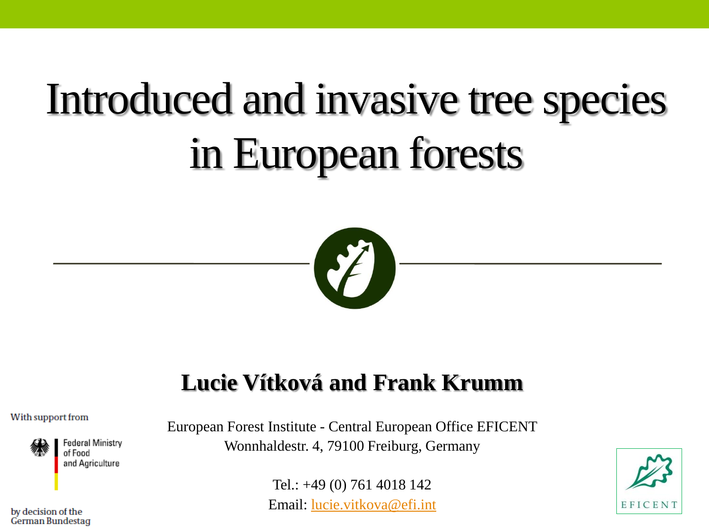# Introduced and invasive tree species in European forests



#### **Lucie Vítková and Frank Krumm**

#### With support from



Federal Ministry of Food and Agriculture

European Forest Institute - Central European Office EFICENT Wonnhaldestr. 4, 79100 Freiburg, Germany

> Tel.: +49 (0) 761 4018 142 Email: [lucie.vitkova@efi.int](mailto:lucie.vitkova@efi.int)



by decision of the German Bundestag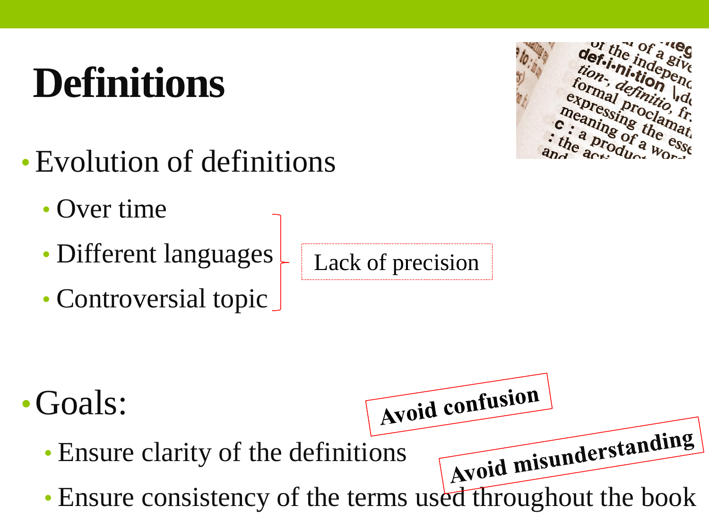# **Definitions**

- •Evolution of definitions
	- Over time
	- Different languages
	- Controversial topic

Lack of precision



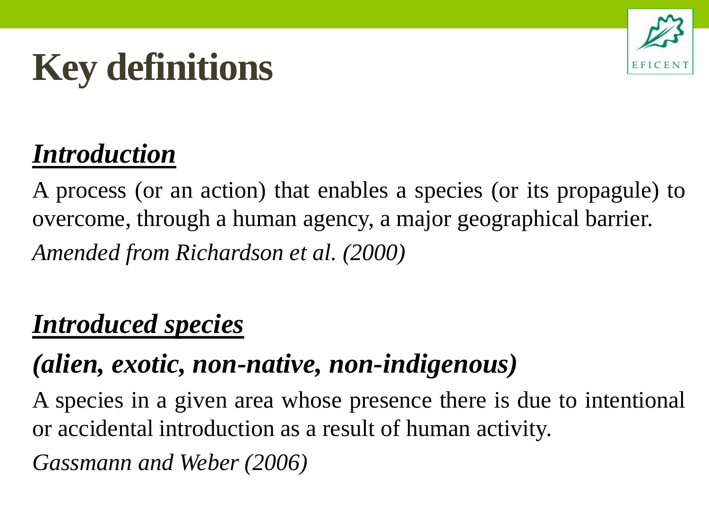



#### *Introduction*

A process (or an action) that enables a species (or its propagule) to overcome, through a human agency, a major geographical barrier. *Amended from Richardson et al. (2000)*

#### *Introduced species*

### *(alien, exotic, non-native, non-indigenous)*

A species in a given area whose presence there is due to intentional or accidental introduction as a result of human activity.

*Gassmann and Weber (2006)*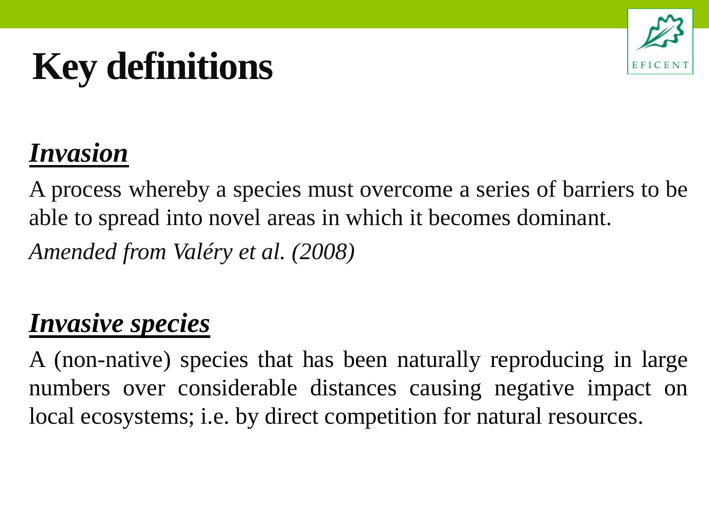### **Key definitions**



### *Invasion*

A process whereby a species must overcome a series of barriers to be able to spread into novel areas in which it becomes dominant. *Amended from Valéry et al. (2008)*

#### *Invasive species*

A (non-native) species that has been naturally reproducing in large numbers over considerable distances causing negative impact on local ecosystems; i.e. by direct competition for natural resources.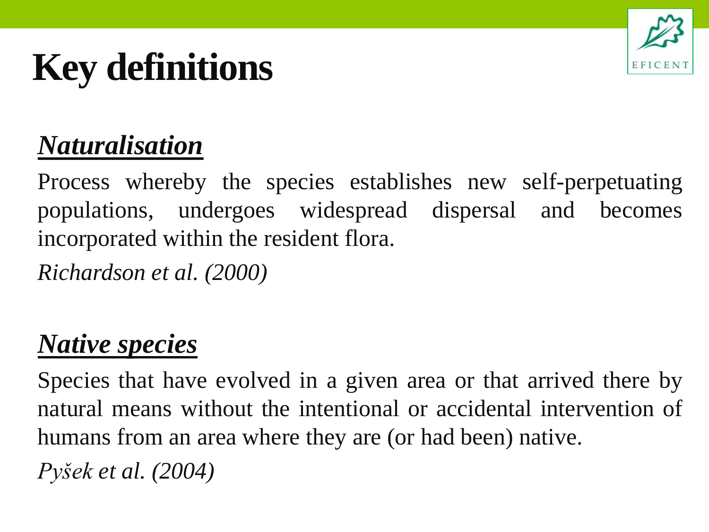

## **Key definitions**

### *Naturalisation*

Process whereby the species establishes new self-perpetuating populations, undergoes widespread dispersal and becomes incorporated within the resident flora.

*Richardson et al. (2000)*

#### *Native species*

Species that have evolved in a given area or that arrived there by natural means without the intentional or accidental intervention of humans from an area where they are (or had been) native.

*Pyšek et al. (2004)*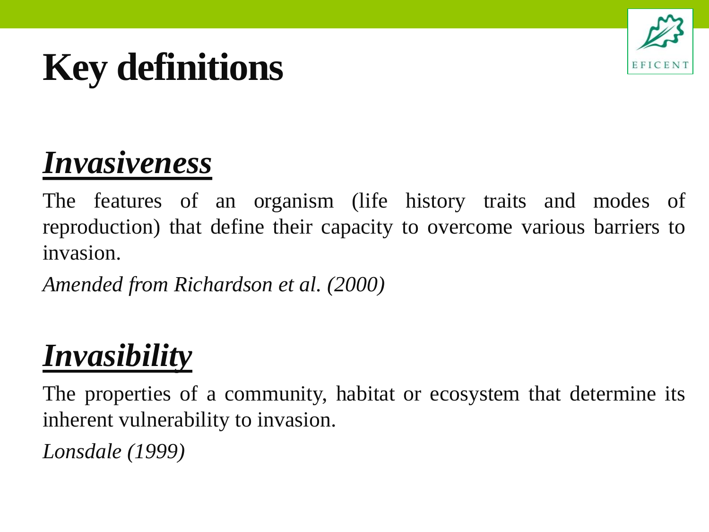## **Key definitions**



### *Invasiveness*

The features of an organism (life history traits and modes of reproduction) that define their capacity to overcome various barriers to invasion.

*Amended from Richardson et al. (2000)*

### *Invasibility*

The properties of a community, habitat or ecosystem that determine its inherent vulnerability to invasion.

*Lonsdale (1999)*